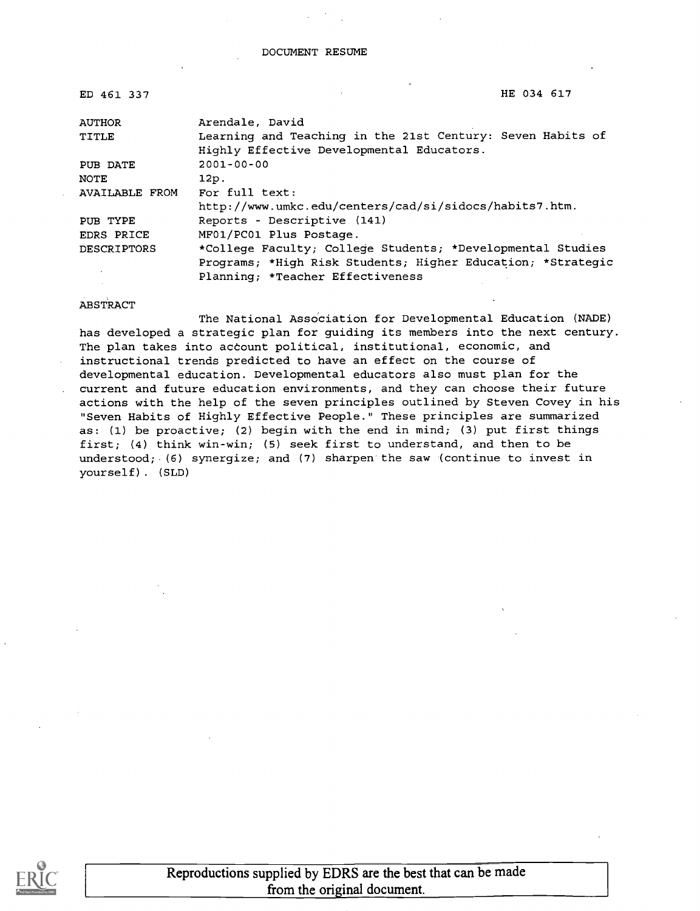| ED 461 337         | HE 034 617                                                  |
|--------------------|-------------------------------------------------------------|
| <b>AUTHOR</b>      | Arendale, David                                             |
| TITLE              | Learning and Teaching in the 21st Century: Seven Habits of  |
|                    | Highly Effective Developmental Educators.                   |
| PUB DATE           | $2001 - 00 - 00$                                            |
| NOTE               | 12p.                                                        |
| AVAILABLE FROM     | For full text:                                              |
|                    | http://www.umkc.edu/centers/cad/si/sidocs/habits7.htm.      |
| PUB TYPE           | Reports - Descriptive (141)                                 |
| EDRS PRICE         | MF01/PC01 Plus Postage.                                     |
| <b>DESCRIPTORS</b> | *College Faculty; College Students; *Developmental Studies  |
|                    | Programs; *High Risk Students; Higher Education; *Strategic |
|                    | Planning; *Teacher Effectiveness                            |

#### **ABSTRACT**

The National Association for Developmental Education (NADE) has developed a strategic plan for guiding its members into the next century. The plan takes into account political, institutional, economic, and instructional trends predicted to have an effect on the course of developmental education. Developmental educators also must plan for the current and future education environments, and they can choose their future actions with the help of the seven principles outlined by Steven Covey in his "Seven Habits of Highly Effective People." These principles are summarized as: (1) be proactive; (2) begin with the end in mind; (3) put first things first; (4) think win-win; (5) seek first to understand, and then to be understood; (6) synergize; and (7) sharpen the saw (continue to invest in yourself) . (SLD)

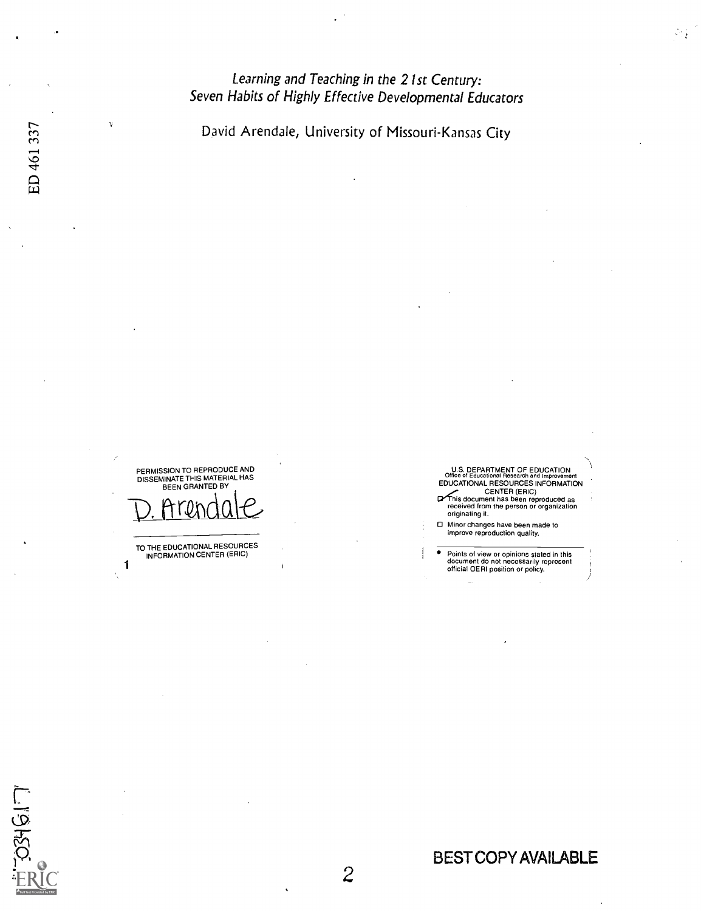## Learning and Teaching in the 21st Century: Seven Habits of Highly Effective Developmental Educators

David Arendale, University of Missouri-Kansas City

PERMISSION TO REPRODUCE AND<br>DISSEMINATE THIS MATERIAL HAS<br>BEEN GRANTED BY



TO THE EDUCATIONAL RESOURCES INFORMATION CENTER (ERIC)

1

U.S. DEPARTMENT OF EDUCATION<br>Office of Educational Research and Improvement<br>EDUCATIONAL RESOURCES INFORMATION

 $\mathcal{P}^{\mathcal{E}}$  ,

CENTER (ERIC)<br>This document has been reproduced as<br>received from the person or organization<br>originating it.

CI Minor changes have been made to improve reproduction quality.

 $\overline{\bullet}$ Points of view or opinions stated in this document do not necessarily represent official OERI position or policy.

 $334617$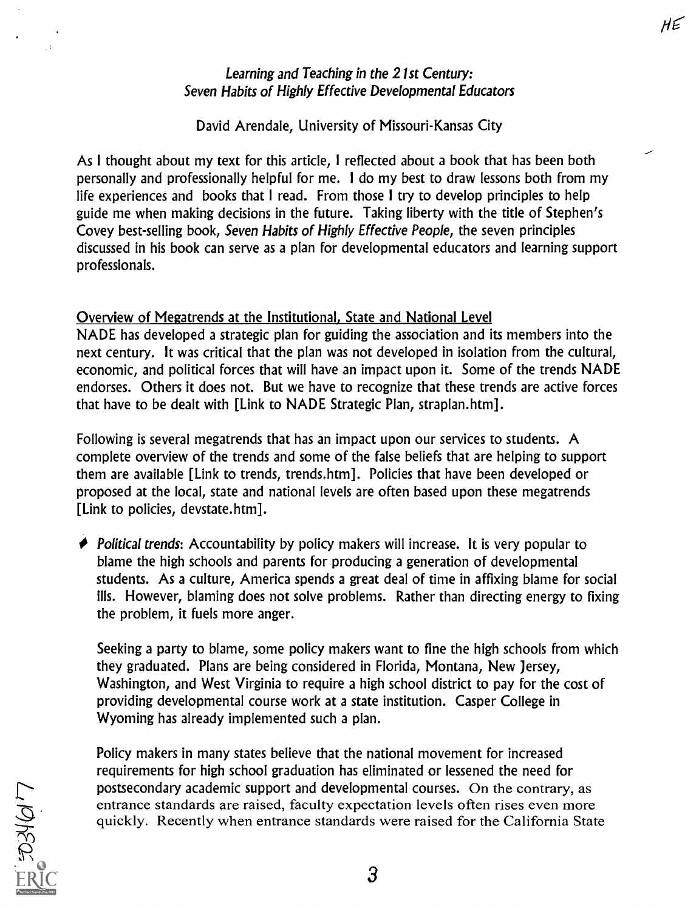## Learning and Teaching in the 21st Century: Seven Habits of Highly Effective Developmental Educators

HE

#### David Arendale, University of Missouri-Kansas City

As I thought about my text for this article, I reflected about a book that has been both personally and professionally helpful for me. I do my best to draw lessons both from my life experiences and books that I read. From those I try to develop principles to help guide me when making decisions in the future. Taking liberty with the title of Stephen's Covey best-selling book, Seven Habits of Highly Effective People, the seven principles discussed in his book can serve as a plan for developmental educators and learning support professionals.

Overview of Megatrends at the Institutional, State and National Level NADE has developed a strategic plan for guiding the association and its members into the next century. It was critical that the plan was not developed in isolation from the cultural, economic, and political forces that will have an impact upon it. Some of the trends NADE endorses. Others it does not. But we have to recognize that these trends are active forces that have to be dealt with [Link to NADE Strategic Plan, straplan.htm].

Following is several megatrends that has an impact upon our services to students. A complete overview of the trends and some of the false beliefs that are helping to support them are available [Link to trends, trends.htm]. Policies that have been developed or proposed at the local, state and national levels are often based upon these megatrends [Link to policies, devstate.htm].

 $\blacktriangleright$  Political trends: Accountability by policy makers will increase. It is very popular to blame the high schools and parents for producing a generation of developmental students. As a culture, America spends a great deal of time in affixing blame for social ills. However, blaming does not solve problems. Rather than directing energy to fixing the problem, it fuels more anger.

Seeking a party to blame, some policy makers want to fine the high schools from which they graduated. Plans are being considered in Florida, Montana, New Jersey, Washington, and West Virginia to require a high school district to pay for the cost of providing developmental course work at a state institution. Casper College in Wyoming has already implemented such a plan.

Policy makers in many states believe that the national movement for increased requirements for high school graduation has eliminated or lessened the need for postsecondary academic support and developmental courses. On the contrary, as entrance standards are raised, faculty expectation levels often rises even more quickly. Recently when entrance standards were raised for the California State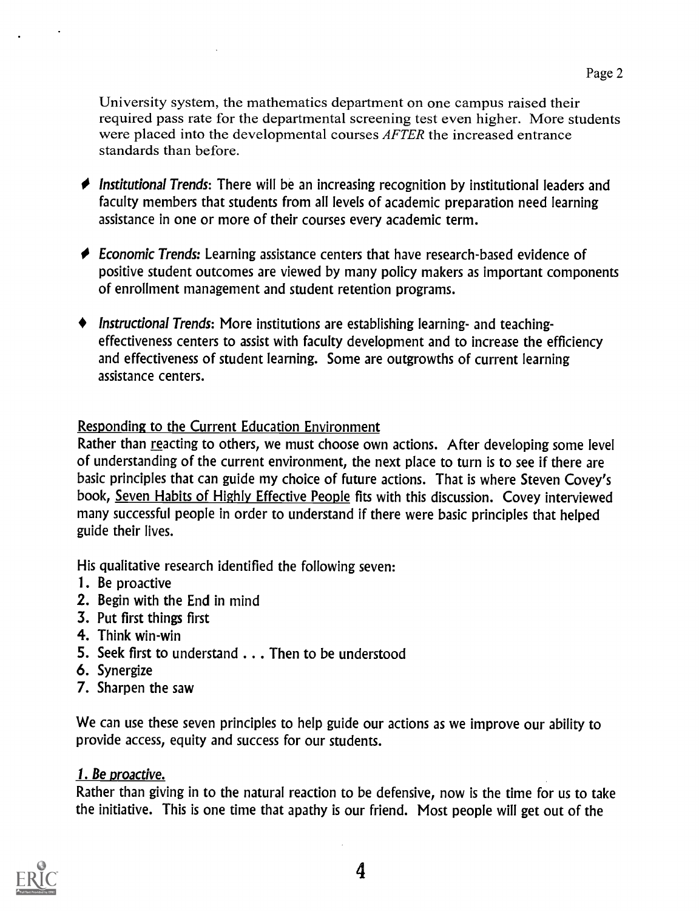University system, the mathematics department on one campus raised their required pass rate for the departmental screening test even higher. More students were placed into the developmental courses *AFTER* the increased entrance standards than before.

- $\blacklozenge$  Institutional Trends: There will be an increasing recognition by institutional leaders and faculty members that students from all levels of academic preparation need learning assistance in one or more of their courses every academic term.
- ◆ Economic Trends: Learning assistance centers that have research-based evidence of positive student outcomes are viewed by many policy makers as important components of enrollment management and student retention programs.
- Instructional Trends: More institutions are establishing learning- and teachingeffectiveness centers to assist with faculty development and to increase the efficiency and effectiveness of student learning. Some are outgrowths of current learning assistance centers.

## Responding to the Current Education Environment

Rather than reacting to others, we must choose own actions. After developing some level of understanding of the current environment, the next place to turn is to see if there are basic principles that can guide my choice of future actions. That is where Steven Covey's book, Seven Habits of Highly Effective People fits with this discussion. Covey interviewed many successful people in order to understand if there were basic principles that helped guide their lives.

His qualitative research identified the following seven:

- 1. Be proactive
- 2. Begin with the End in mind
- 3. Put first things first
- 4. Think win-win
- 5. Seek first to understand . . . Then to be understood
- 6. Synergize
- 7. Sharpen the saw

We can use these seven principles to help guide our actions as we improve our ability to provide access, equity and success for our students.

## 1. Be proactive.

Rather than giving in to the natural reaction to be defensive, now is the time for us to take the initiative. This is one time that apathy is our friend. Most people will get out of the

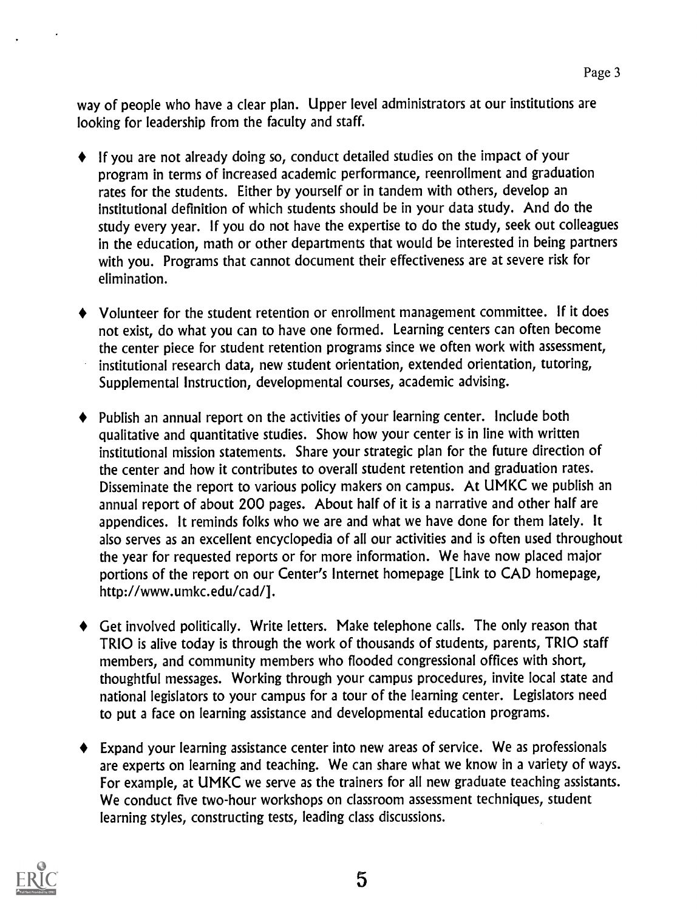way of people who have a clear plan. Upper level administrators at our institutions are looking for leadership from the faculty and staff.

- If you are not already doing so, conduct detailed studies on the impact of your program in terms of increased academic performance, reenrollment and graduation rates for the students. Either by yourself or in tandem with others, develop an institutional definition of which students should be in your data study. And do the study every year. If you do not have the expertise to do the study, seek out colleagues in the education, math or other departments that would be interested in being partners with you. Programs that cannot document their effectiveness are at severe risk for elimination.
- Volunteer for the student retention or enrollment management committee. If it does  $\blacklozenge$ not exist, do what you can to have one formed. Learning centers can often become the center piece for student retention programs since we often work with assessment, institutional research data, new student orientation, extended orientation, tutoring, Supplemental Instruction, developmental courses, academic advising.
- Publish an annual report on the activities of your learning center. Include both qualitative and quantitative studies. Show how your center is in line with written institutional mission statements. Share your strategic plan for the future direction of the center and how it contributes to overall student retention and graduation rates. Disseminate the report to various policy makers on campus. At UMKC we publish an annual report of about 200 pages. About half of it is a narrative and other half are appendices. It reminds folks who we are and what we have done for them lately. It also serves as an excellent encyclopedia of all our activities and is often used throughout the year for requested reports or for more information. We have now placed major portions of the report on our Center's Internet homepage [Link to CAD homepage, http://www.umkc.edu/cad/].
- Get involved politically. Write letters. Make telephone calls. The only reason that TRIO is alive today is through the work of thousands of students, parents, TRIO staff members, and community members who flooded congressional offices with short, thoughtful messages. Working through your campus procedures, invite local state and national legislators to your campus for a tour of the learning center. Legislators need to put a face on learning assistance and developmental education programs.
- Expand your learning assistance center into new areas of service. We as professionals are experts on learning and teaching. We can share what we know in a variety of ways. For example, at UMKC we serve as the trainers for all new graduate teaching assistants. We conduct five two-hour workshops on classroom assessment techniques, student learning styles, constructing tests, leading class discussions.

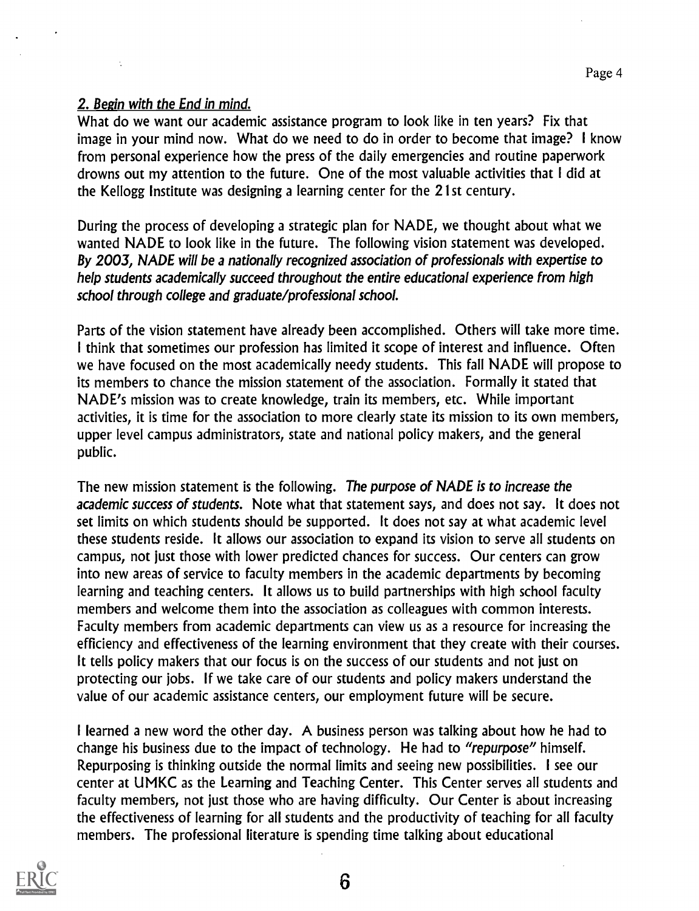### 2. Begin with the End in mind.

What do we want our academic assistance program to look like in ten years? Fix that image in your mind now. What do we need to do in order to become that image? I know from personal experience how the press of the daily emergencies and routine paperwork drowns out my attention to the future. One of the most valuable activities that I did at the Kellogg Institute was designing a learning center for the 21st century.

During the process of developing a strategic plan for NADE, we thought about what we wanted NADE to look like in the future. The following vision statement was developed. By 2003, NADE will be a nationally recognized association of professionals with expertise to help students academically succeed throughout the entire educational experience from high school through college and graduate/professional school.

Parts of the vision statement have already been accomplished. Others will take more time. I think that sometimes our profession has limited it scope of interest and influence. Often we have focused on the most academically needy students. This fall NADE will propose to its members to chance the mission statement of the association. Formally it stated that NADE's mission was to create knowledge, train its members, etc. While important activities, it is time for the association to more clearly state its mission to its own members, upper level campus administrators, state and national policy makers, and the general public.

The new mission statement is the following. The purpose of NADE is to increase the academic success of students. Note what that statement says, and does not say. It does not set limits on which students should be supported. It does not say at what academic level these students reside. It allows our association to expand its vision to serve all students on campus, not just those with lower predicted chances for success. Our centers can grow into new areas of service to faculty members in the academic departments by becoming learning and teaching centers. It allows us to build partnerships with high school faculty members and welcome them into the association as colleagues with common interests. Faculty members from academic departments can view us as a resource for increasing the efficiency and effectiveness of the learning environment that they create with their courses. It tells policy makers that our focus is on the success of our students and not just on protecting our jobs. If we take care of our students and policy makers understand the value of our academic assistance centers, our employment future will be secure.

I learned a new word the other day. A business person was talking about how he had to change his business due to the impact of technology. He had to "repurpose" himself. Repurposing is thinking outside the normal limits and seeing new possibilities. I see our center at LIMKC as the Learning and Teaching Center. This Center serves all students and faculty members, not just those who are having difficulty. Our Center is about increasing the effectiveness of learning for all students and the productivity of teaching for all faculty members. The professional literature is spending time talking about educational

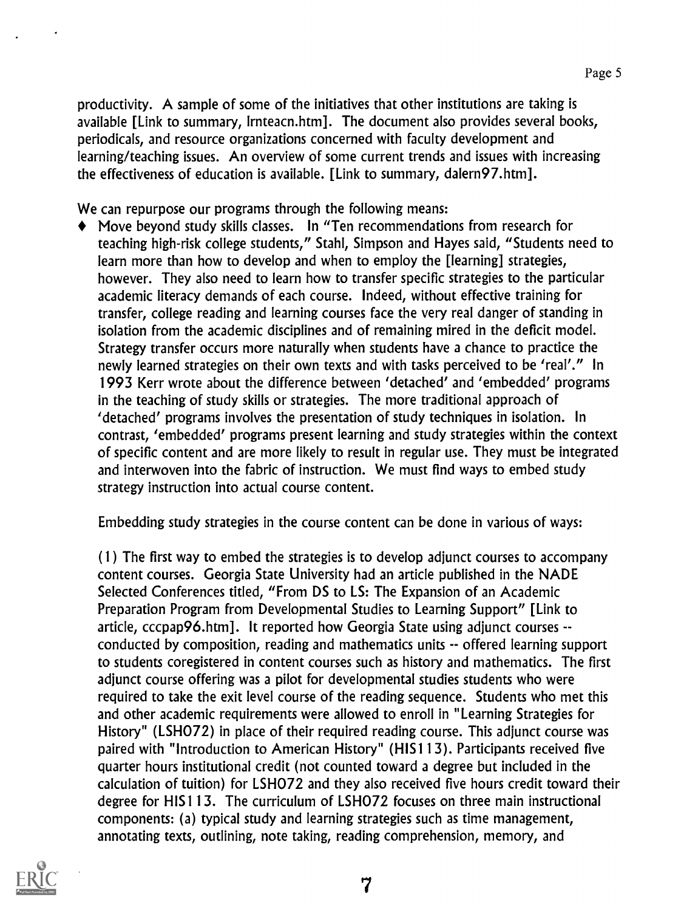productivity. A sample of some of the initiatives that other institutions are taking is available [Link to summary, Irnteacn.htm]. The document also provides several books, periodicals, and resource organizations concerned with faculty development and learning/teaching issues. An overview of some current trends and issues with increasing the effectiveness of education is available. [Link to summary, dalern97.htm].

We can repurpose our programs through the following means:

Move beyond study skills classes. In "Ten recommendations from research for teaching high-risk college students," Stahl, Simpson and Hayes said, "Students need to learn more than how to develop and when to employ the [learning] strategies, however. They also need to learn how to transfer specific strategies to the particular academic literacy demands of each course. Indeed, without effective training for transfer, college reading and learning courses face the very real danger of standing in isolation from the academic disciplines and of remaining mired in the deficit model. Strategy transfer occurs more naturally when students have a chance to practice the newly learned strategies on their own texts and with tasks perceived to be 'real'." In 1993 Kerr wrote about the difference between 'detached' and 'embedded' programs in the teaching of study skills or strategies. The more traditional approach of 'detached' programs involves the presentation of study techniques in isolation. In contrast, 'embedded' programs present learning and study strategies within the context of specific content and are more likely to result in regular use. They must be integrated and interwoven into the fabric of instruction. We must find ways to embed study strategy instruction into actual course content.

Embedding study strategies in the course content can be done in various of ways:

(1) The first way to embed the strategies is to develop adjunct courses to accompany content courses. Georgia State University had an article published in the NADE Selected Conferences titled, "From DS to LS: The Expansion of an Academic Preparation Program from Developmental Studies to Learning Support" [Link to article, cccpap96.htm]. It reported how Georgia State using adjunct courses - conducted by composition, reading and mathematics units -- offered learning support to students coregistered in content courses such as history and mathematics. The first adjunct course offering was a pilot for developmental studies students who were required to take the exit level course of the reading sequence. Students who met this and other academic requirements were allowed to enroll in "Learning Strategies for History" (LSH072) in place of their required reading course. This adjunct course was paired with "Introduction to American History" (HIS 1 13). Participants received five quarter hours institutional credit (not counted toward a degree but included in the calculation of tuition) for LSH072 and they also received five hours credit toward their degree for HIS113. The curriculum of LSH072 focuses on three main instructional components: (a) typical study and learning strategies such as time management, annotating texts, outlining, note taking, reading comprehension, memory, and

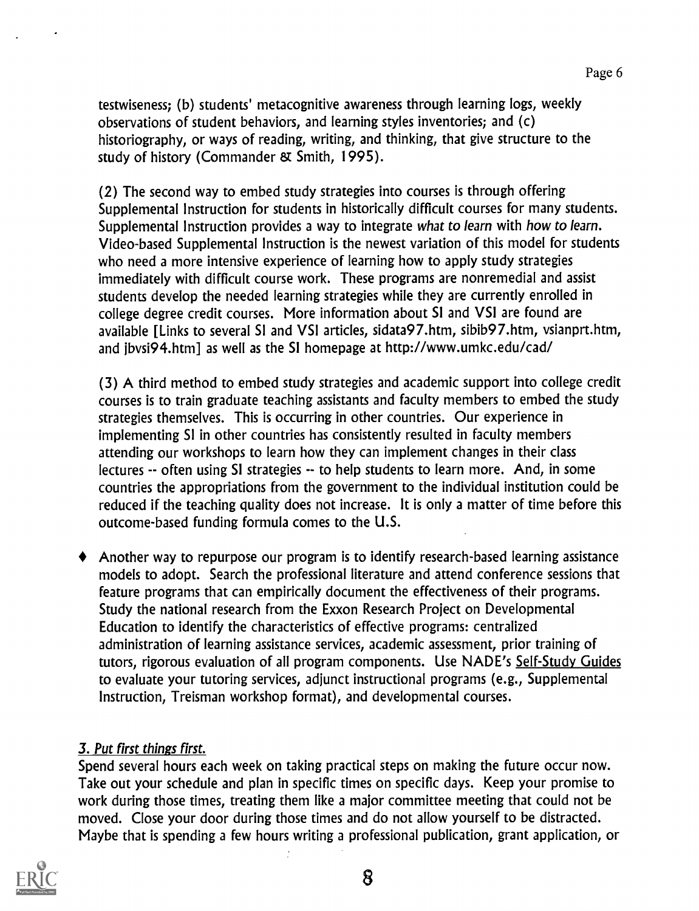Page 6

testwiseness; (b) students' metacognitive awareness through learning logs, weekly observations of student behaviors, and learning styles inventories; and (c) historiography, or ways of reading, writing, and thinking, that give structure to the study of history (Commander & Smith, 1995).

(2) The second way to embed study strategies into courses is through offering Supplemental Instruction for students in historically difficult courses for many students. Supplemental Instruction provides a way to integrate what to learn with how to learn. Video-based Supplemental Instruction is the newest variation of this model for students who need a more intensive experience of learning how to apply study strategies immediately with difficult course work. These programs are nonremedial and assist students develop the needed learning strategies while they are currently enrolled in college degree credit courses. More information about SI and VSI are found are available [Links to several SI and VSI articles, sidata97.htm, sibib97.htm, vsianprt.htm, and jbvs194.htm] as well as the SI homepage at http://www.umkc.edu/cad/

(3) A third method to embed study strategies and academic support into college credit courses is to train graduate teaching assistants and faculty members to embed the study strategies themselves. This is occurring in other countries. Our experience in implementing SI in other countries has consistently resulted in faculty members attending our workshops to learn how they can implement changes in their class lectures -- often using SI strategies -- to help students to learn more. And, in some countries the appropriations from the government to the individual institution could be reduced if the teaching quality does not increase. It is only a matter of time before this outcome-based funding formula comes to the U.S.

Another way to repurpose our program is to identify research-based learning assistance models to adopt. Search the professional literature and attend conference sessions that feature programs that can empirically document the effectiveness of their programs. Study the national research from the Exxon Research Project on Developmental Education to identify the characteristics of effective programs: centralized administration of learning assistance services, academic assessment, prior training of tutors, rigorous evaluation of all program components. Use NADE's Self-Study Guides to evaluate your tutoring services, adjunct instructional programs (e.g., Supplemental Instruction, Treisman workshop format), and developmental courses.

### 3. Put first things first.

Spend several hours each week on taking practical steps on making the future occur now. Take out your schedule and plan in specific times on specific days. Keep your promise to work during those times, treating them like a major committee meeting that could not be moved. Close your door during those times and do not allow yourself to be distracted. Maybe that is spending a few hours writing a professional publication, grant application, or

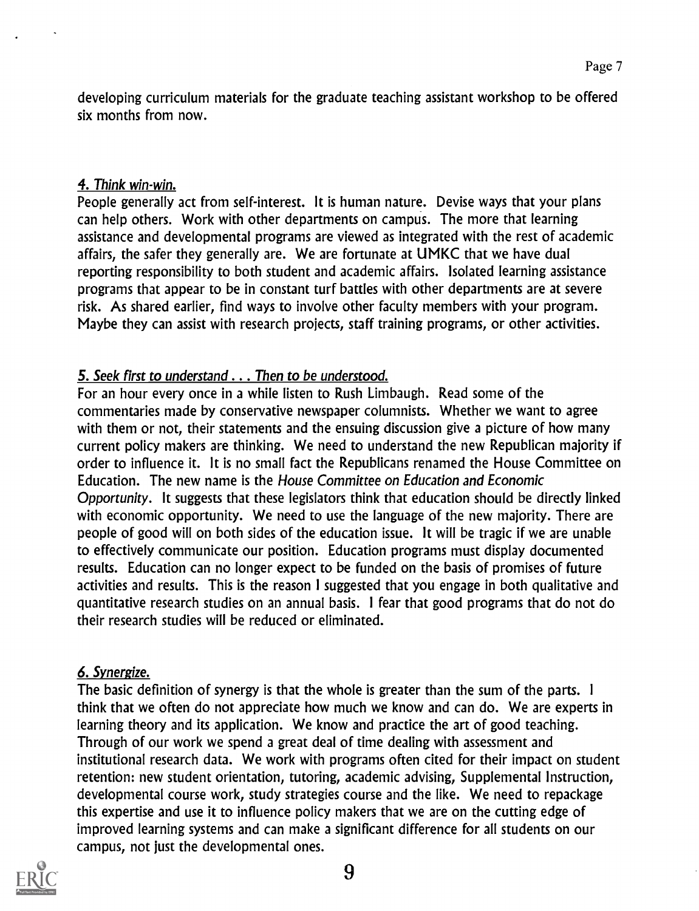developing curriculum materials for the graduate teaching assistant workshop to be offered six months from now.

## 4. Think win-win.

People generally act from self-interest. It is human nature. Devise ways that your plans can help others. Work with other departments on campus. The more that learning assistance and developmental programs are viewed as integrated with the rest of academic affairs, the safer they generally are. We are fortunate at UMKC that we have dual reporting responsibility to both student and academic affairs. Isolated learning assistance programs that appear to be in constant turf battles with other departments are at severe risk. As shared earlier, find ways to involve other faculty members with your program. Maybe they can assist with research projects, staff training programs, or other activities.

## 5. Seek first to understand . . . Then to be understood.

For an hour every once in a while listen to Rush Limbaugh. Read some of the commentaries made by conservative newspaper columnists. Whether we want to agree with them or not, their statements and the ensuing discussion give a picture of how many current policy makers are thinking. We need to understand the new Republican majority if order to influence it. It is no small fact the Republicans renamed the House Committee on Education. The new name is the House Committee on Education and Economic Opportunity. It suggests that these legislators think that education should be directly linked with economic opportunity. We need to use the language of the new majority. There are people of good will on both sides of the education issue. It will be tragic if we are unable to effectively communicate our position. Education programs must display documented results. Education can no longer expect to be funded on the basis of promises of future activities and results. This is the reason I suggested that you engage in both qualitative and quantitative research studies on an annual basis. I fear that good programs that do not do their research studies will be reduced or eliminated.

## 6. Synergize.

The basic definition of synergy is that the whole is greater than the sum of the parts. <sup>I</sup> think that we often do not appreciate how much we know and can do. We are experts in learning theory and its application. We know and practice the art of good teaching. Through of our work we spend a great deal of time dealing with assessment and institutional research data. We work with programs often cited for their impact on student retention: new student orientation, tutoring, academic advising, Supplemental Instruction, developmental course work, study strategies course and the like. We need to repackage this expertise and use it to influence policy makers that we are on the cutting edge of improved learning systems and can make a significant difference for all students on our campus, not just the developmental ones.

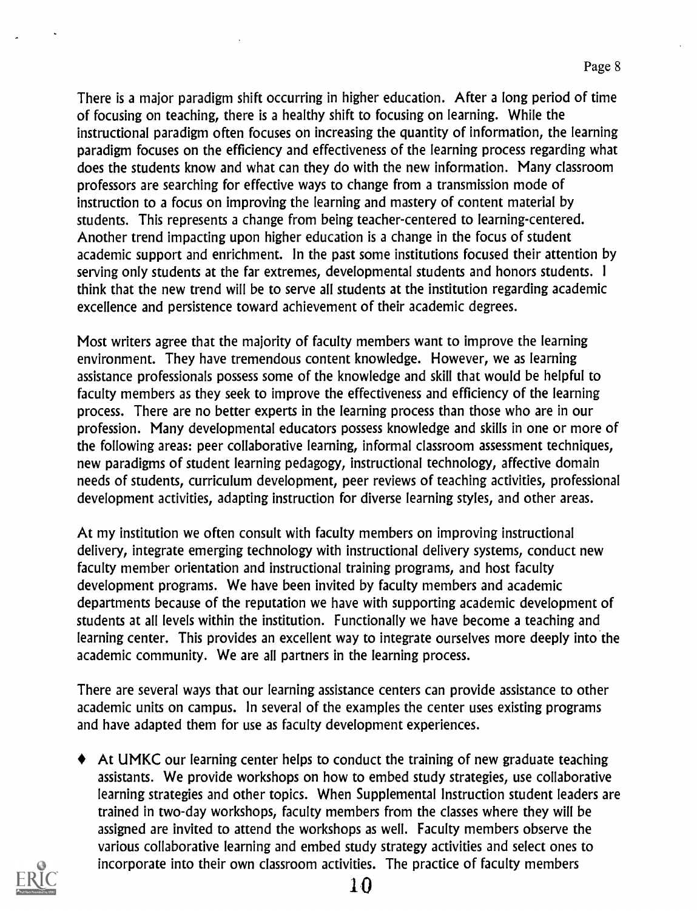There is a major paradigm shift occurring in higher education. After a long period of time of focusing on teaching, there is a healthy shift to focusing on learning. While the instructional paradigm often focuses on increasing the quantity of information, the learning paradigm focuses on the efficiency and effectiveness of the learning process regarding what does the students know and what can they do with the new information. Many classroom professors are searching for effective ways to change from a transmission mode of instruction to a focus on improving the learning and mastery of content material by students. This represents a change from being teacher-centered to learning-centered. Another trend impacting upon higher education is a change in the focus of student academic support and enrichment. In the past some institutions focused their attention by serving only students at the far extremes, developmental students and honors students. <sup>I</sup>think that the new trend will be to serve all students at the institution regarding academic excellence and persistence toward achievement of their academic degrees.

Most writers agree that the majority of faculty members want to improve the learning environment. They have tremendous content knowledge. However, we as learning assistance professionals possess some of the knowledge and skill that would be helpful to faculty members as they seek to improve the effectiveness and efficiency of the learning process. There are no better experts in the learning process than those who are in our profession. Many developmental educators possess knowledge and skills in one or more of the following areas: peer collaborative learning, informal classroom assessment techniques, new paradigms of student learning pedagogy, instructional technology, affective domain needs of students, curriculum development, peer reviews of teaching activities, professional development activities, adapting instruction for diverse learning styles, and other areas.

At my institution we often consult with faculty members on improving instructional delivery, integrate emerging technology with instructional delivery systems, conduct new faculty member orientation and instructional training programs, and host faculty development programs. We have been invited by faculty members and academic departments because of the reputation we have with supporting academic development of students at all levels within the institution. Functionally we have become a teaching and learning center. This provides an excellent way to integrate ourselves more deeply into the academic community. We are all partners in the learning process.

There are several ways that our learning assistance centers can provide assistance to other academic units on campus. In several of the examples the center uses existing programs and have adapted them for use as faculty development experiences.

At UMKC our learning center helps to conduct the training of new graduate teaching assistants. We provide workshops on how to embed study strategies, use collaborative learning strategies and other topics. When Supplemental Instruction student leaders are trained in two-day workshops, faculty members from the classes where they will be assigned are invited to attend the workshops as well. Faculty members observe the various collaborative learning and embed study strategy activities and select ones to incorporate into their own classroom activities. The practice of faculty members

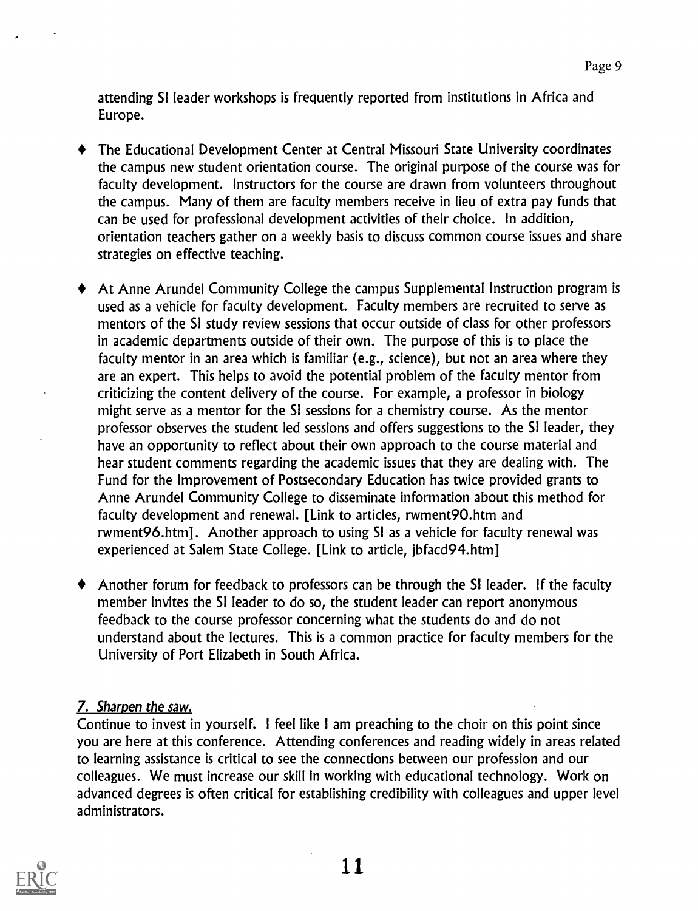attending SI leader workshops is frequently reported from institutions in Africa and Europe.

- The Educational Development Center at Central Missouri State University coordinates the campus new student orientation course. The original purpose of the course was for faculty development. Instructors for the course are drawn from volunteers throughout the campus. Many of them are faculty members receive in lieu of extra pay funds that can be used for professional development activities of their choice. In addition, orientation teachers gather on a weekly basis to discuss common course issues and share strategies on effective teaching.
- At Anne Arundel Community College the campus Supplemental Instruction program is used as a vehicle for faculty development. Faculty members are recruited to serve as mentors of the SI study review sessions that occur outside of class for other professors in academic departments outside of their own. The purpose of this is to place the faculty mentor in an area which is familiar (e.g., science), but not an area where they are an expert. This helps to avoid the potential problem of the faculty mentor from criticizing the content delivery of the course. For example, a professor in biology might serve as a mentor for the SI sessions for a chemistry course. As the mentor professor observes the student led sessions and offers suggestions to the SI leader, they have an opportunity to reflect about their own approach to the course material and hear student comments regarding the academic issues that they are dealing with. The Fund for the Improvement of Postsecondary Education has twice provided grants to Anne Arundel Community College to disseminate information about this method for faculty development and renewal. [Link to articles, rwment90.htm and rwment96.htm]. Another approach to using SI as a vehicle for faculty renewal was experienced at Salem State College. [Link to article, jbfacd94.htm]
- Another forum for feedback to professors can be through the SI leader. If the faculty member invites the SI leader to do so, the student leader can report anonymous feedback to the course professor concerning what the students do and do not understand about the lectures. This is a common practice for faculty members for the University of Port Elizabeth in South Africa.

## 7. Sharpen the saw.

Continue to invest in yourself. I feel like I am preaching to the choir on this point since you are here at this conference. Attending conferences and reading widely in areas related to learning assistance is critical to see the connections between our profession and our colleagues. We must increase our skill in working with educational technology. Work on advanced degrees is often critical for establishing credibility with colleagues and upper level administrators.

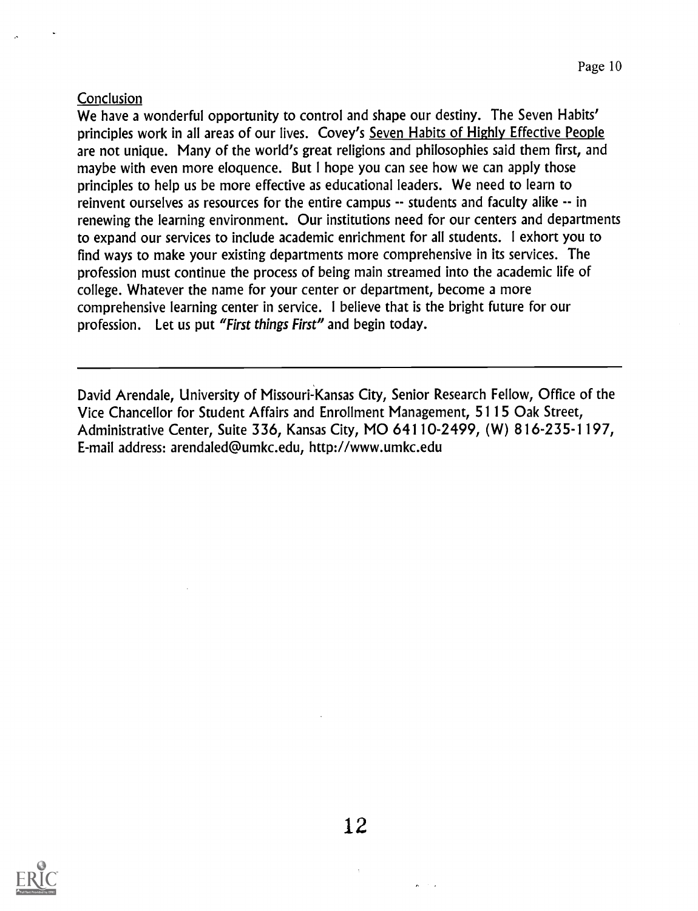### **Conclusion**

We have a wonderful opportunity to control and shape our destiny. The Seven Habits' principles work in all areas of our lives. Covey's Seven Habits of Highly Effective People are not unique. Many of the world's great religions and philosophies said them first, and maybe with even more eloquence. But I hope you can see how we can apply those principles to help us be more effective as educational leaders. We need to learn to reinvent ourselves as resources for the entire campus -- students and faculty alike -- in renewing the learning environment. Our institutions need for our centers and departments to expand our services to include academic enrichment for all students. I exhort you to find ways to make your existing departments more comprehensive in its services. The profession must continue the process of being main streamed into the academic life of college. Whatever the name for your center or department, become a more comprehensive learning center in service. I believe that is the bright future for our profession. Let us put "First things First" and begin today.

David Arendale, University of Missouri-Kansas City, Senior Research Fellow, Office of the Vice Chancellor for Student Affairs and Enrollment Management, 5115 Oak Street, Administrative Center, Suite 336, Kansas City, MO 64110-2499, (W) 816-235-1197, E-mail address: arendaled@umkc.edu, http://www.umkc.edu



12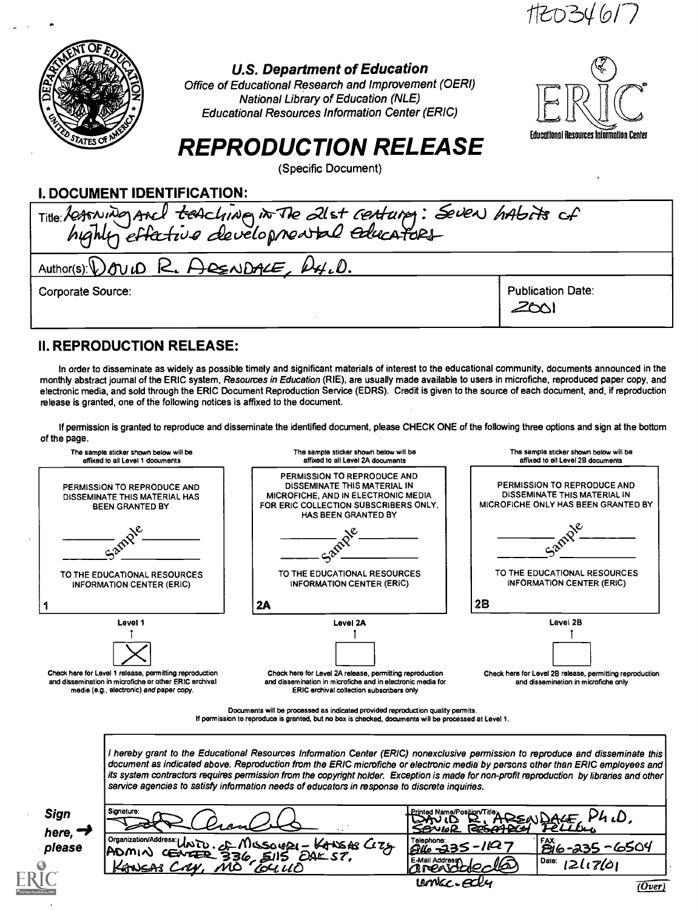

#### U.S. Department of Education

Office of Educational Research and Improvement (OERI) National Library of Education (NLE) Educational Resources Information Center (ERIC)



# REPRODUCTION RELEASE

(Specific Document)

#### I. DOCUMENT IDENTIFICATION:

| Title: Resoning Ancl teaching in The 21st reatures: Seven habits of |                                  |  |  |  |
|---------------------------------------------------------------------|----------------------------------|--|--|--|
| Author(s): DOUID R. ARENDALE, R4.D.                                 |                                  |  |  |  |
| Corporate Source:                                                   | <b>Publication Date:</b><br>200' |  |  |  |

#### II. REPRODUCTION RELEASE:

In order to disseminate as widely as possible timely and significant materials of interest to the educational community, documents announced in the monthly abstract journal of the ERIC system, Resources in Education (RIE), are usually made available to users in microfiche, reproduced paper copy, and electronic media, and sold through the ERIC Document Reproduction Service (EDRS). Credit is given to the source of each document, and, if reproduction release is granted, one of the following notices is affixed to the document.

If permission is granted to reproduce and disseminate the identified document, please CHECK ONE of the following three options and sign at the bottom of the page.



I hereby grant to the Educational Resources Information Center (ERIC) nonexclusive permission to reproduce and disseminate this document as indicated above. Reproduction from the ERIC microfiche or electronic media by persons other than ERIC employees and its system contractors requires permission from the copyright holder. Exception is made for non-profit reproduction by libraries and other service agencies to satisfy information needs of educators in response to discrete inquiries.

| <b>Sign</b><br>here, | Signature:                                                                                      | Printed Name/Position/Title∡<br>P4. D<br>REAL PACE<br>1225.44 2Cs<br>SBNWR |                                         |
|----------------------|-------------------------------------------------------------------------------------------------|----------------------------------------------------------------------------|-----------------------------------------|
| please               | Porquization/Address: UNITO.com/1500401-601548 C275<br>ADMIN CENTER 336, SIIS<br><b>EAK ST.</b> | Telephone:<br>$946 - 335 - 1127$<br>E-Mail Address.                        | I FAX:<br><u>1816-235-6504</u><br>Date: |
| U                    | KANSAS CAY.<br>MÒ<br>EU UO                                                                      | <b>DROAMAO</b><br>umec-edly                                                | 12117601<br>(Over                       |